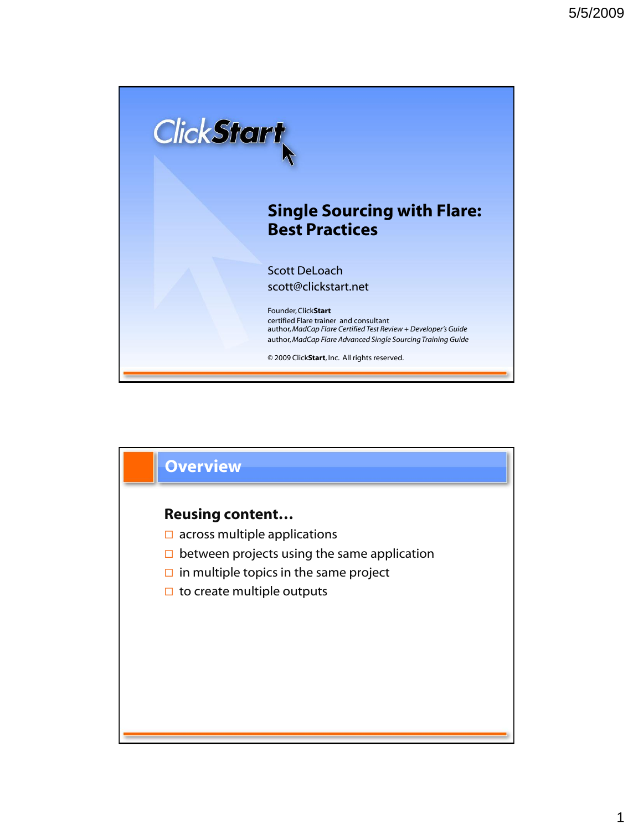

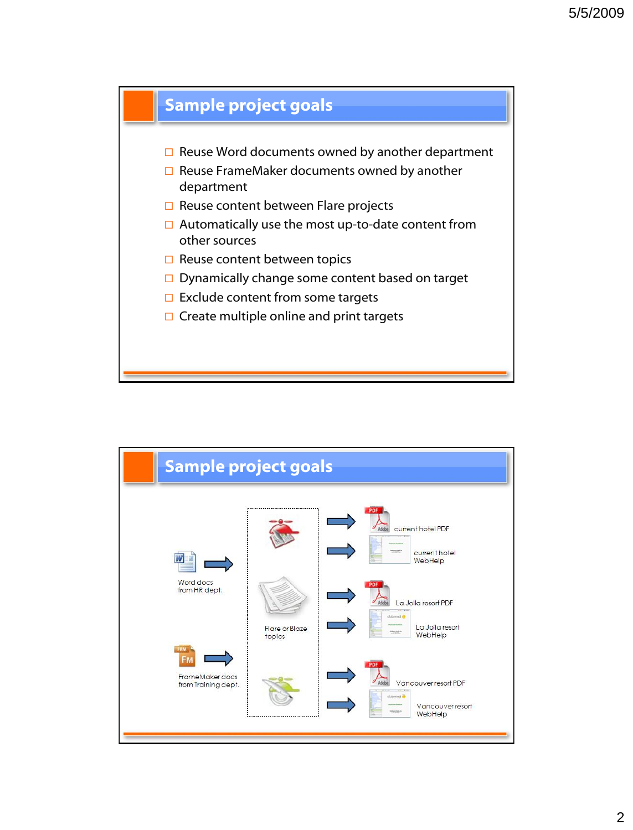

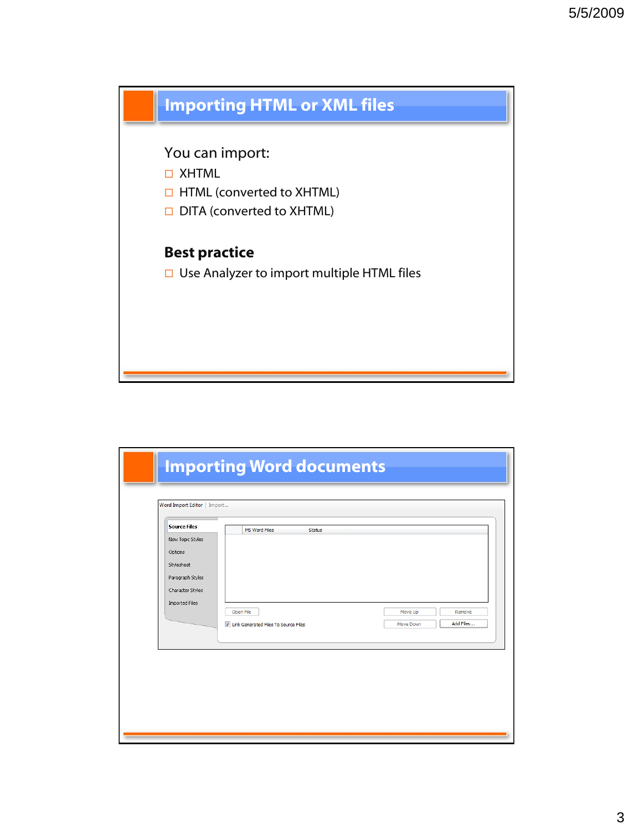

| <b>Source Files</b>         | MS Word Files                          | <b>Status</b> |           |           |
|-----------------------------|----------------------------------------|---------------|-----------|-----------|
| New Topic Styles<br>Options |                                        |               |           |           |
| Stylesheet                  |                                        |               |           |           |
| Paragraph Styles            |                                        |               |           |           |
| Character Styles            |                                        |               |           |           |
| Imported Files              | Open File                              |               | Move Up   | Remove    |
|                             | U Link Generated Files To Source Files |               | Move Down | Add Files |
|                             |                                        |               |           |           |
|                             |                                        |               |           |           |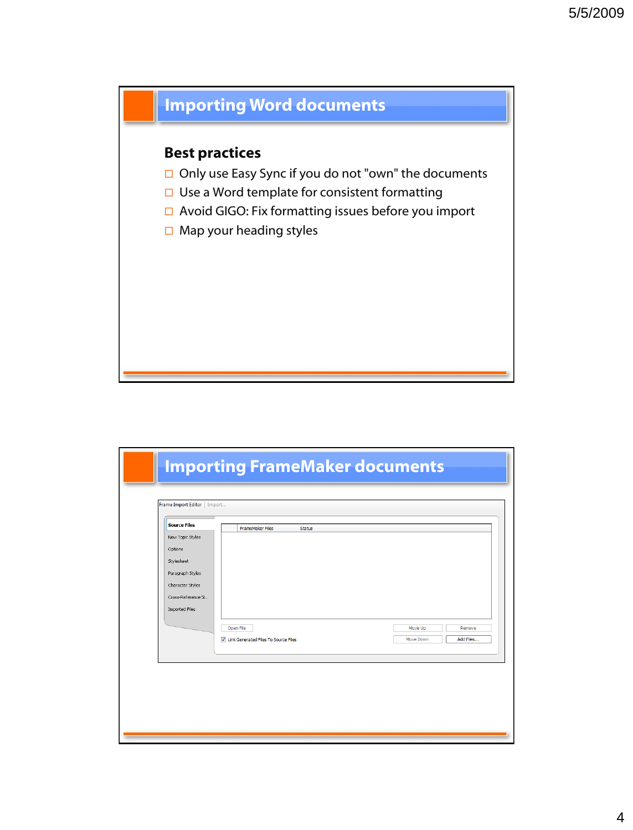# **Importing Word documents**

### **Best practices**

- $\Box$  Only use Easy Sync if you do not "own" the documents
- $\square$  Use a Word template for consistent formatting
- □ Avoid GIGO: Fix formatting issues before you import
- $\Box$  Map your heading styles

| <b>Source Files</b> | <b>FrameMaker Files</b><br><b>Status</b> |                        |
|---------------------|------------------------------------------|------------------------|
| New Topic Styles    |                                          |                        |
| Options             |                                          |                        |
| Stylesheet          |                                          |                        |
| Paragraph Styles    |                                          |                        |
| Character Styles    |                                          |                        |
| Cross-Reference St  |                                          |                        |
| Imported Files      |                                          |                        |
|                     | Open File                                | Move Up<br>Remove      |
|                     | U Link Generated Files To Source Files   | Add Files<br>Move Down |
|                     |                                          |                        |
|                     |                                          |                        |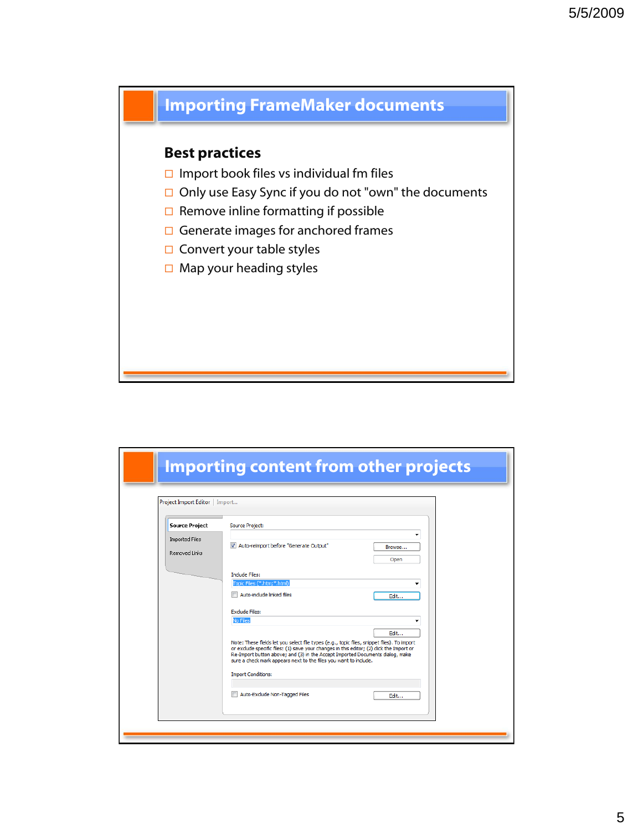# **Importing FrameMaker documents**

### **Best practices**

- $\Box$  Import book files vs individual fm files
- $\Box$  Only use Easy Sync if you do not "own" the documents
- $\square$  Remove inline formatting if possible
- $\Box$  Generate images for anchored frames
- $\Box$  Convert your table styles
- $\Box$  Map your heading styles

| Project Import Editor   Import |                                                                                                                                                                                                                                                                                                                                                                         |        |
|--------------------------------|-------------------------------------------------------------------------------------------------------------------------------------------------------------------------------------------------------------------------------------------------------------------------------------------------------------------------------------------------------------------------|--------|
| <b>Source Project</b>          | <b>Source Project:</b>                                                                                                                                                                                                                                                                                                                                                  |        |
| <b>Imported Files</b>          |                                                                                                                                                                                                                                                                                                                                                                         | -      |
| Removed Links                  | Auto-reimport before "Generate Output"<br>v                                                                                                                                                                                                                                                                                                                             | Browse |
|                                |                                                                                                                                                                                                                                                                                                                                                                         | Open   |
|                                | <b>Include Files:</b>                                                                                                                                                                                                                                                                                                                                                   |        |
|                                | Topic Files (*.htm;*.html)<br>Auto-include linked files                                                                                                                                                                                                                                                                                                                 | Edit   |
|                                |                                                                                                                                                                                                                                                                                                                                                                         |        |
|                                | <b>Exclude Files:</b><br>No Files                                                                                                                                                                                                                                                                                                                                       |        |
|                                |                                                                                                                                                                                                                                                                                                                                                                         | Edit   |
|                                | Note: These fields let you select file types (e.g., topic files, snippet files). To import<br>or exclude specific files: (1) save your changes in this editor; (2) dick the Import or<br>Re-Import button above; and (3) in the Accept Imported Documents dialog, make<br>sure a check mark appears next to the files you want to include.<br><b>Import Conditions:</b> |        |
|                                |                                                                                                                                                                                                                                                                                                                                                                         |        |
|                                | Auto-Exclude Non-Tagged Files                                                                                                                                                                                                                                                                                                                                           | Edit   |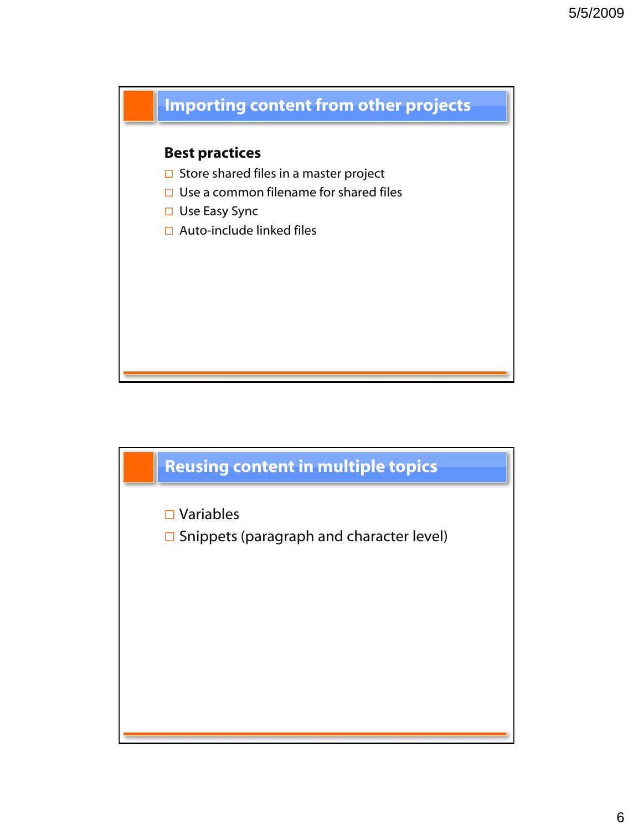

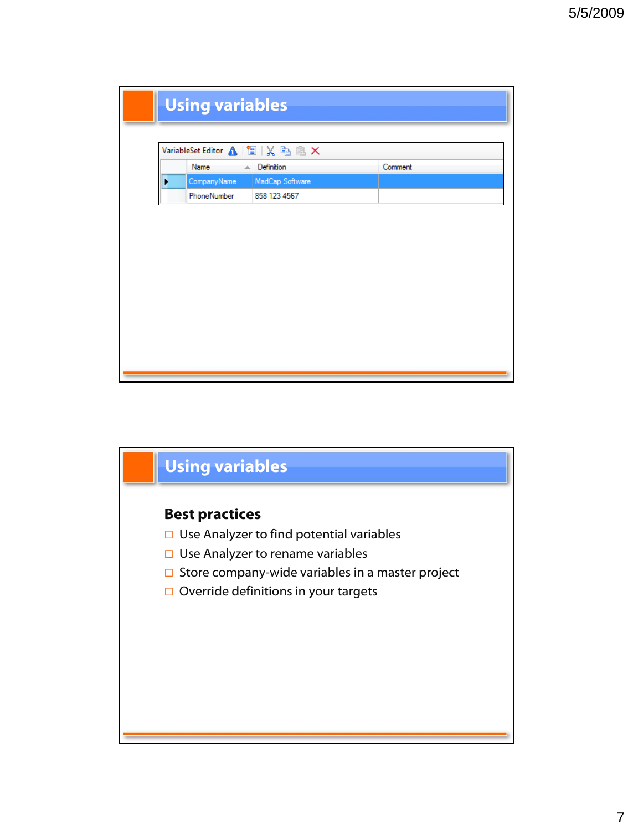|   | VariableSet Editor △ 图 区 色 區 ×<br>$\triangle$ Definition<br>Name | Comment |
|---|------------------------------------------------------------------|---------|
| ۶ | CompanyName<br>MadCap Software                                   |         |
|   | PhoneNumber<br>858 123 4567                                      |         |
|   |                                                                  |         |
|   |                                                                  |         |

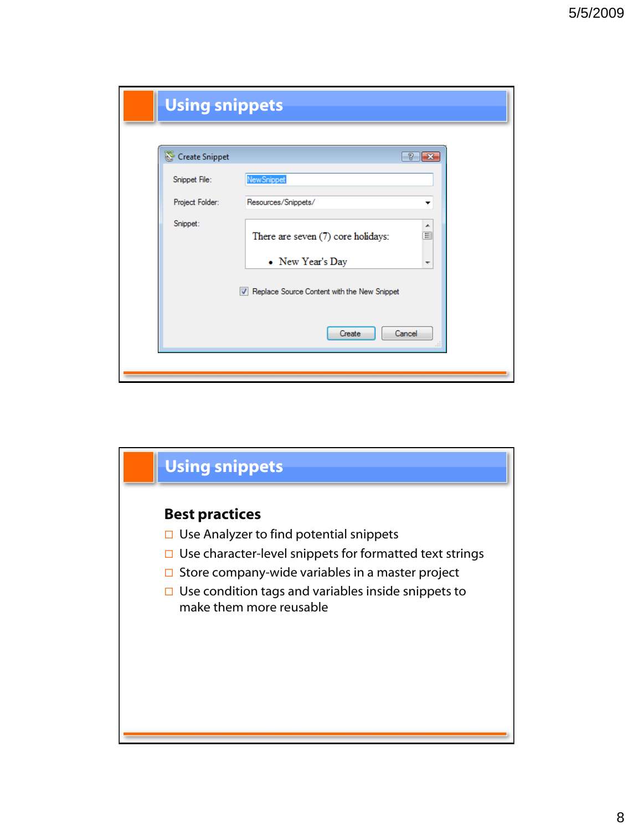| Create Snippet<br>P.<br>New Snippet<br>Snippet File: |               |
|------------------------------------------------------|---------------|
|                                                      | $\parallel$ x |
|                                                      |               |
| Project Folder:<br>Resources/Snippets/               | ▼             |
| Snippet:<br>There are seven (7) core holidays:       | ▲<br>$\equiv$ |
| • New Year's Day                                     | ۳             |
| Replace Source Content with the New Snippet          |               |
| Create<br>Cancel                                     | Ш             |

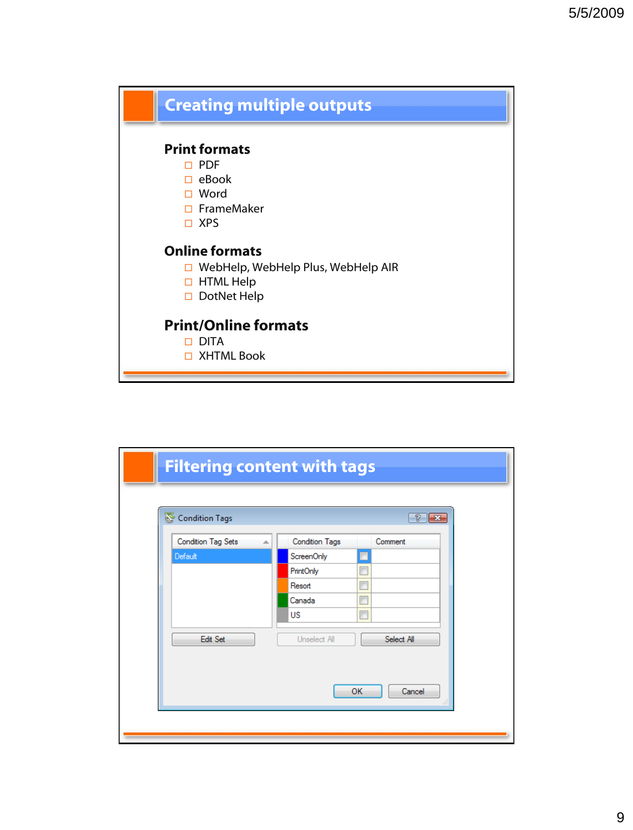

| Condition Tags                 | T                                | <b>I</b> x |
|--------------------------------|----------------------------------|------------|
| <b>Condition Tag Sets</b><br>∸ | <b>Condition Tags</b><br>Comment |            |
| Default                        | ScreenOnly                       |            |
|                                | F<br>PrintOnly                   |            |
|                                | $\Box$<br>Resort                 |            |
|                                | $\blacksquare$<br>Canada         |            |
|                                | $\Box$<br>US                     |            |
| Edit Set                       | Select All<br>Unselect All       |            |
|                                |                                  |            |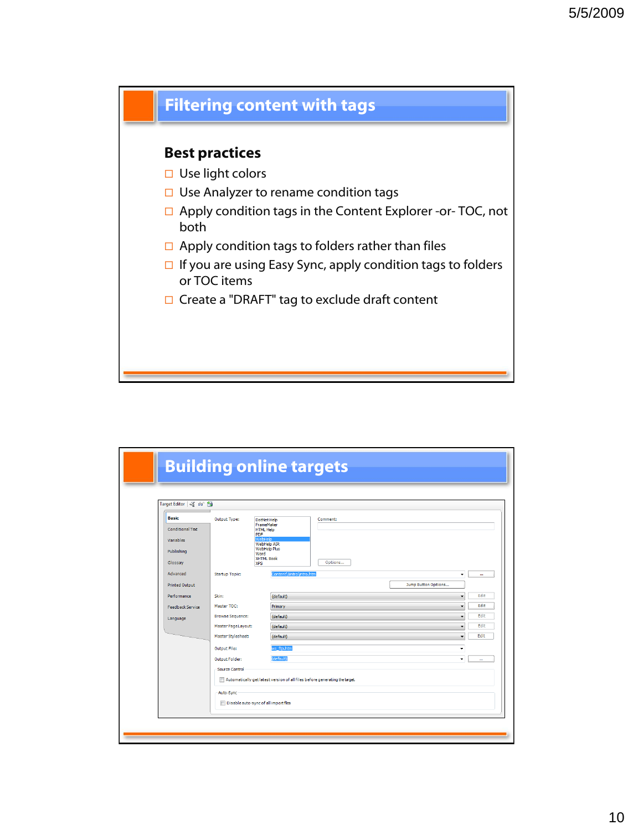

#### **Best practices**

- □ Use light colors
- $\Box$  Use Analyzer to rename condition tags
- □ Apply condition tags in the Content Explorer -or- TOC, not both
- $\Box$  Apply condition tags to folders rather than files
- $\Box$  If you are using Easy Sync, apply condition tags to folders or TOC items
- □ Create a "DRAFT" tag to exclude draft content

| Target Editor 3 66                            |                         |                                                                                       |                                                                             |                     |   |
|-----------------------------------------------|-------------------------|---------------------------------------------------------------------------------------|-----------------------------------------------------------------------------|---------------------|---|
| <b>Basic</b><br>Conditional Text<br>Variables | Output Type:            | DotNet Help<br>FrameMaker<br><b>HTML Help</b><br>PDF<br>VebHeld<br><b>WebHelp AIR</b> | Comment:                                                                    |                     |   |
| Publishing<br>Glossarv                        |                         | WebHelp Plus<br>Word<br><b>XHTML Book</b><br><b>XPS</b>                               | Options                                                                     |                     |   |
| Advanced<br>Printed Output                    | Startup Topic:          |                                                                                       | Content\1intro\ntro.htm                                                     | Jump Button Options | ٠ |
| Performance                                   | Skin:                   | (default)                                                                             |                                                                             |                     |   |
| <b>Feedback Service</b>                       | Master TOC:             | Primary                                                                               |                                                                             |                     | ٠ |
| Language                                      | <b>Browse Sequence:</b> | (default)                                                                             |                                                                             |                     |   |
|                                               | Master PageLayout:      | (default)                                                                             |                                                                             |                     | ۰ |
|                                               | Master Stylesheet:      | (default)                                                                             |                                                                             |                     |   |
|                                               | Output File:            | ws ftp.htm                                                                            |                                                                             |                     | ٠ |
|                                               | Output Folder:          | (default)                                                                             |                                                                             |                     | ۰ |
|                                               | Source Control          |                                                                                       | Automatically get latest version of all files before generating the target. |                     |   |
|                                               | Auto-Sync               | Disable auto-sync of all import files                                                 |                                                                             |                     |   |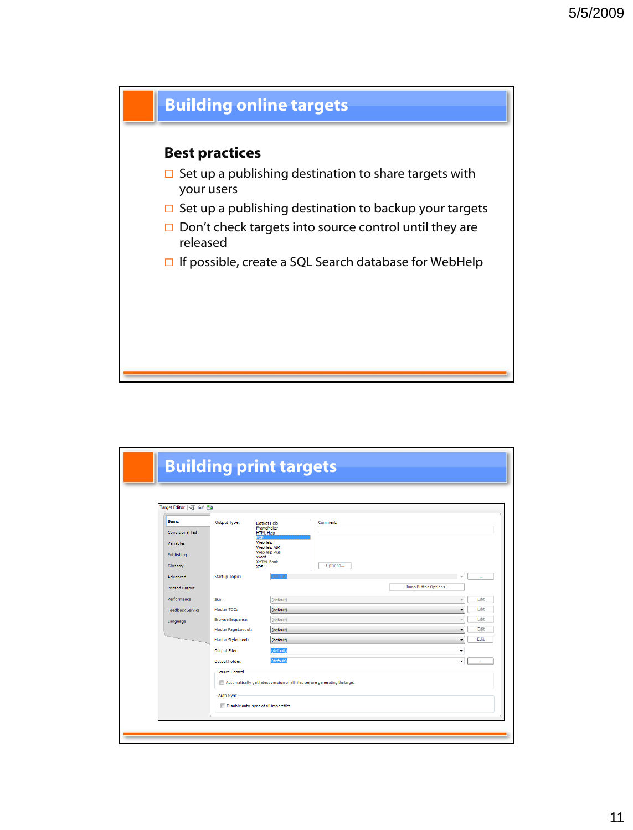

| Target Editor 3 66      |                                       |                           |                                                                             |                     |        |
|-------------------------|---------------------------------------|---------------------------|-----------------------------------------------------------------------------|---------------------|--------|
| <b>Basic</b>            | Output Type:                          | DotNet Help<br>FrameMaker | Comment:                                                                    |                     |        |
| Conditional Text        |                                       | <b>HTML Help</b><br>הרכ   |                                                                             |                     |        |
| Variables               |                                       | WebHelp<br>WebHelp AIR    |                                                                             |                     |        |
| Publishing              |                                       | WebHelp Plus<br>Word      |                                                                             |                     |        |
| Glossary                |                                       | XHTML Book<br><b>XPS</b>  | Options                                                                     |                     |        |
| Advanced                | <b>Startup Topic:</b>                 |                           |                                                                             |                     | $\sim$ |
| <b>Printed Output</b>   |                                       |                           |                                                                             | Jump Button Options |        |
| Performance             | Skin:                                 | (default)                 |                                                                             |                     |        |
| <b>Feedback Service</b> | Master TOC:                           | (default)                 |                                                                             |                     | ٠      |
| Language                | <b>Browse Sequence:</b>               | (default)                 |                                                                             |                     |        |
|                         | Master Page Layout:                   | (default)                 |                                                                             |                     | ۰      |
|                         | Master Stylesheet:                    | (default)                 |                                                                             |                     | ۰      |
|                         | Output File:                          | (default)                 |                                                                             |                     | ٠      |
|                         | Output Folder:                        | (default)                 |                                                                             |                     | ٠      |
|                         | Source Control                        |                           |                                                                             |                     |        |
|                         |                                       |                           | Automatically get latest version of all files before generating the target. |                     |        |
|                         | Auto-Sync                             |                           |                                                                             |                     |        |
|                         | Disable auto-sync of all import files |                           |                                                                             |                     |        |